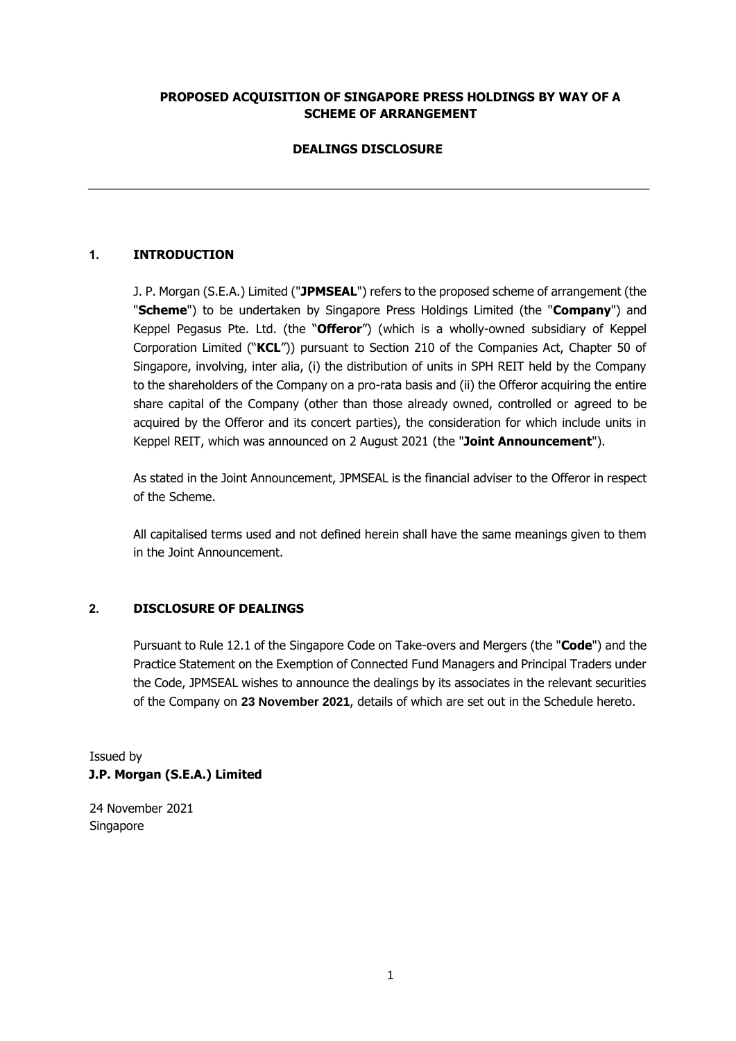### **PROPOSED ACQUISITION OF SINGAPORE PRESS HOLDINGS BY WAY OF A SCHEME OF ARRANGEMENT**

# **DEALINGS DISCLOSURE**

# **1. INTRODUCTION**

J. P. Morgan (S.E.A.) Limited ("**JPMSEAL**") refers to the proposed scheme of arrangement (the "**Scheme**") to be undertaken by Singapore Press Holdings Limited (the "**Company**") and Keppel Pegasus Pte. Ltd. (the "**Offeror**") (which is a wholly-owned subsidiary of Keppel Corporation Limited ("**KCL**")) pursuant to Section 210 of the Companies Act, Chapter 50 of Singapore, involving, inter alia, (i) the distribution of units in SPH REIT held by the Company to the shareholders of the Company on a pro-rata basis and (ii) the Offeror acquiring the entire share capital of the Company (other than those already owned, controlled or agreed to be acquired by the Offeror and its concert parties), the consideration for which include units in Keppel REIT, which was announced on 2 August 2021 (the "**Joint Announcement**").

As stated in the Joint Announcement, JPMSEAL is the financial adviser to the Offeror in respect of the Scheme.

All capitalised terms used and not defined herein shall have the same meanings given to them in the Joint Announcement.

### **2. DISCLOSURE OF DEALINGS**

Pursuant to Rule 12.1 of the Singapore Code on Take-overs and Mergers (the "**Code**") and the Practice Statement on the Exemption of Connected Fund Managers and Principal Traders under the Code, JPMSEAL wishes to announce the dealings by its associates in the relevant securities of the Company on **23 November 2021**, details of which are set out in the Schedule hereto.

Issued by **J.P. Morgan (S.E.A.) Limited** 

24 November 2021 Singapore